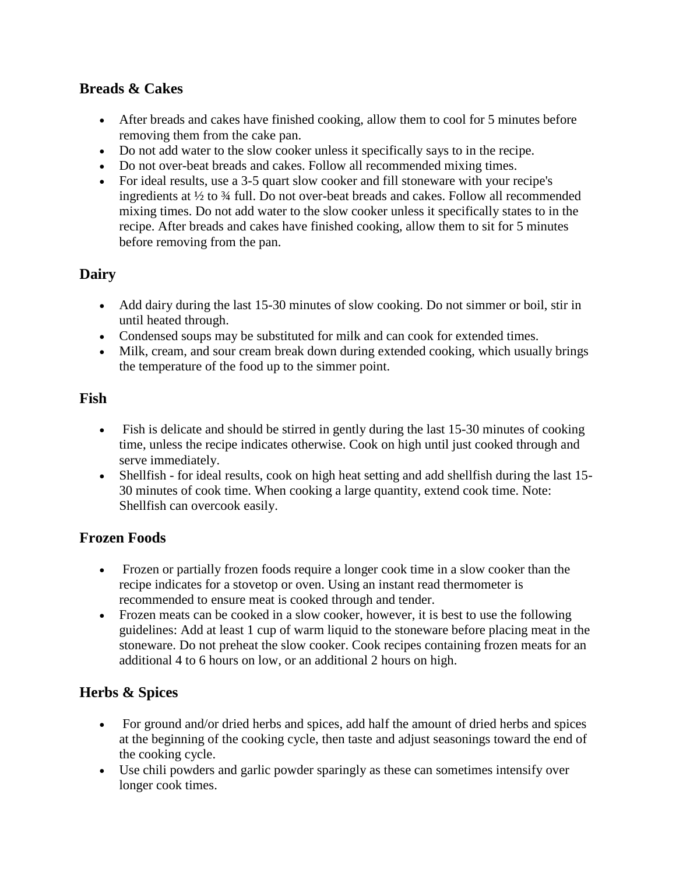### **Breads & Cakes**

- After breads and cakes have finished cooking, allow them to cool for 5 minutes before removing them from the cake pan.
- Do not add water to the slow cooker unless it specifically says to in the recipe.
- Do not over-beat breads and cakes. Follow all recommended mixing times.
- For ideal results, use a 3-5 quart slow cooker and fill stoneware with your recipe's ingredients at  $\frac{1}{2}$  to  $\frac{3}{4}$  full. Do not over-beat breads and cakes. Follow all recommended mixing times. Do not add water to the slow cooker unless it specifically states to in the recipe. After breads and cakes have finished cooking, allow them to sit for 5 minutes before removing from the pan.

## **Dairy**

- Add dairy during the last 15-30 minutes of slow cooking. Do not simmer or boil, stir in until heated through.
- Condensed soups may be substituted for milk and can cook for extended times.
- Milk, cream, and sour cream break down during extended cooking, which usually brings the temperature of the food up to the simmer point.

### **Fish**

- Fish is delicate and should be stirred in gently during the last 15-30 minutes of cooking time, unless the recipe indicates otherwise. Cook on high until just cooked through and serve immediately.
- Shellfish for ideal results, cook on high heat setting and add shellfish during the last 15- 30 minutes of cook time. When cooking a large quantity, extend cook time. Note: Shellfish can overcook easily.

## **Frozen Foods**

- Frozen or partially frozen foods require a longer cook time in a slow cooker than the recipe indicates for a stovetop or oven. Using an instant read thermometer is recommended to ensure meat is cooked through and tender.
- Frozen meats can be cooked in a slow cooker, however, it is best to use the following guidelines: Add at least 1 cup of warm liquid to the stoneware before placing meat in the stoneware. Do not preheat the slow cooker. Cook recipes containing frozen meats for an additional 4 to 6 hours on low, or an additional 2 hours on high.

## **Herbs & Spices**

- For ground and/or dried herbs and spices, add half the amount of dried herbs and spices at the beginning of the cooking cycle, then taste and adjust seasonings toward the end of the cooking cycle.
- Use chili powders and garlic powder sparingly as these can sometimes intensify over longer cook times.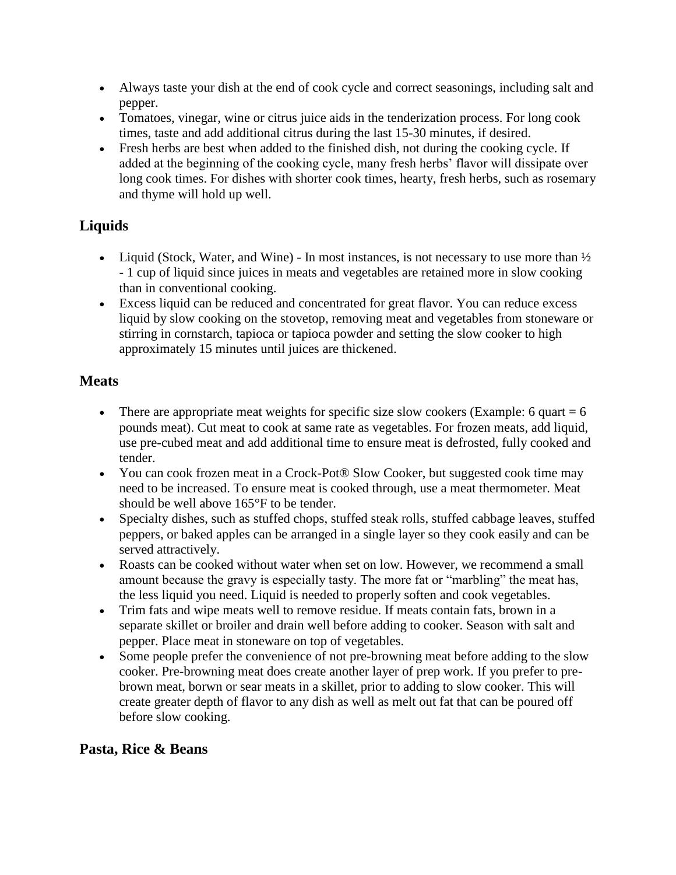- Always taste your dish at the end of cook cycle and correct seasonings, including salt and pepper.
- Tomatoes, vinegar, wine or citrus juice aids in the tenderization process. For long cook times, taste and add additional citrus during the last 15-30 minutes, if desired.
- Fresh herbs are best when added to the finished dish, not during the cooking cycle. If added at the beginning of the cooking cycle, many fresh herbs' flavor will dissipate over long cook times. For dishes with shorter cook times, hearty, fresh herbs, such as rosemary and thyme will hold up well.

# **Liquids**

- Liquid (Stock, Water, and Wine) In most instances, is not necessary to use more than  $\frac{1}{2}$ - 1 cup of liquid since juices in meats and vegetables are retained more in slow cooking than in conventional cooking.
- Excess liquid can be reduced and concentrated for great flavor. You can reduce excess liquid by slow cooking on the stovetop, removing meat and vegetables from stoneware or stirring in cornstarch, tapioca or tapioca powder and setting the slow cooker to high approximately 15 minutes until juices are thickened.

### **Meats**

- There are appropriate meat weights for specific size slow cookers (Example: 6 quart  $= 6$ ) pounds meat). Cut meat to cook at same rate as vegetables. For frozen meats, add liquid, use pre-cubed meat and add additional time to ensure meat is defrosted, fully cooked and tender.
- You can cook frozen meat in a Crock-Pot<sup>®</sup> Slow Cooker, but suggested cook time may need to be increased. To ensure meat is cooked through, use a meat thermometer. Meat should be well above 165°F to be tender.
- Specialty dishes, such as stuffed chops, stuffed steak rolls, stuffed cabbage leaves, stuffed peppers, or baked apples can be arranged in a single layer so they cook easily and can be served attractively.
- Roasts can be cooked without water when set on low. However, we recommend a small amount because the gravy is especially tasty. The more fat or "marbling" the meat has, the less liquid you need. Liquid is needed to properly soften and cook vegetables.
- Trim fats and wipe meats well to remove residue. If meats contain fats, brown in a separate skillet or broiler and drain well before adding to cooker. Season with salt and pepper. Place meat in stoneware on top of vegetables.
- Some people prefer the convenience of not pre-browning meat before adding to the slow cooker. Pre-browning meat does create another layer of prep work. If you prefer to prebrown meat, borwn or sear meats in a skillet, prior to adding to slow cooker. This will create greater depth of flavor to any dish as well as melt out fat that can be poured off before slow cooking.

### **Pasta, Rice & Beans**